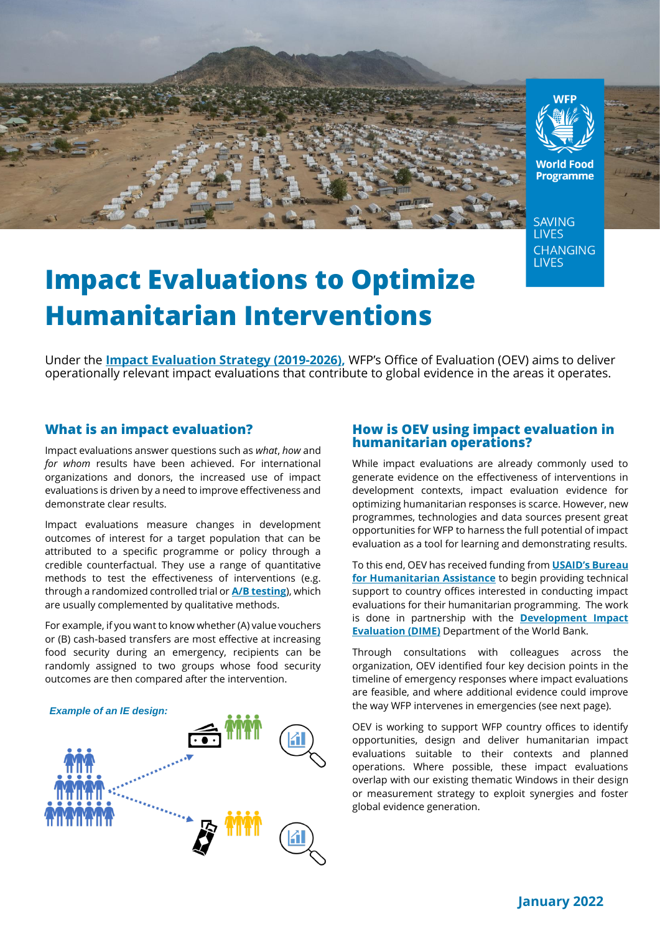



**World Food Programme** 

**SAVING LIVES CHANGING LIVES** 

# **Impact Evaluations to Optimize Humanitarian Interventions**

Under the **[Impact Evaluation Strategy \(2019-2026\),](https://www.wfp.org/publications/wfp-impact-evaluation-strategy-2019-2026)** WFP's Office of Evaluation (OEV) aims to deliver operationally relevant impact evaluations that contribute to global evidence in the areas it operates.

## **What is an impact evaluation?**

Impact evaluations answer questions such as *what*, *how* and *for whom* results have been achieved. For international organizations and donors, the increased use of impact evaluations is driven by a need to improve effectiveness and demonstrate clear results.

Impact evaluations measure changes in development outcomes of interest for a target population that can be attributed to a specific programme or policy through a credible counterfactual. They use a range of quantitative methods to test the effectiveness of interventions (e.g. through a randomized controlled trial or **[A/B testing](https://wfp-evaluation.medium.com/lean-impact-evaluations-experimental-evidence-in-adaptive-humanitarian-interventions-c6f5fe48b691)**), which are usually complemented by qualitative methods.

For example, if you want to know whether (A) value vouchers or (B) cash-based transfers are most effective at increasing food security during an emergency, recipients can be randomly assigned to two groups whose food security outcomes are then compared after the intervention.

#### *Example of an IE design:*



#### **How is OEV using impact evaluation in humanitarian operations?**

While impact evaluations are already commonly used to generate evidence on the effectiveness of interventions in development contexts, impact evaluation evidence for optimizing humanitarian responses is scarce. However, new programmes, technologies and data sources present great opportunities for WFP to harness the full potential of impact evaluation as a tool for learning and demonstrating results.

To this end, OEV has received funding from **[USAID's Bureau](https://www.usaid.gov/who-we-are/organization/bureaus/bureau-humanitarian-assistance)  [for Humanitarian Assistance](https://www.usaid.gov/who-we-are/organization/bureaus/bureau-humanitarian-assistance)** to begin providing technical support to country offices interested in conducting impact evaluations for their humanitarian programming. The work is done in partnership with the **[Development Impact](https://www.worldbank.org/en/research/dime)  [Evaluation \(DIME\)](https://www.worldbank.org/en/research/dime)** Department of the World Bank.

Through consultations with colleagues across the organization, OEV identified four key decision points in the timeline of emergency responses where impact evaluations are feasible, and where additional evidence could improve the way WFP intervenes in emergencies (see next page).

OEV is working to support WFP country offices to identify opportunities, design and deliver humanitarian impact evaluations suitable to their contexts and planned operations. Where possible, these impact evaluations overlap with our existing thematic Windows in their design or measurement strategy to exploit synergies and foster global evidence generation.